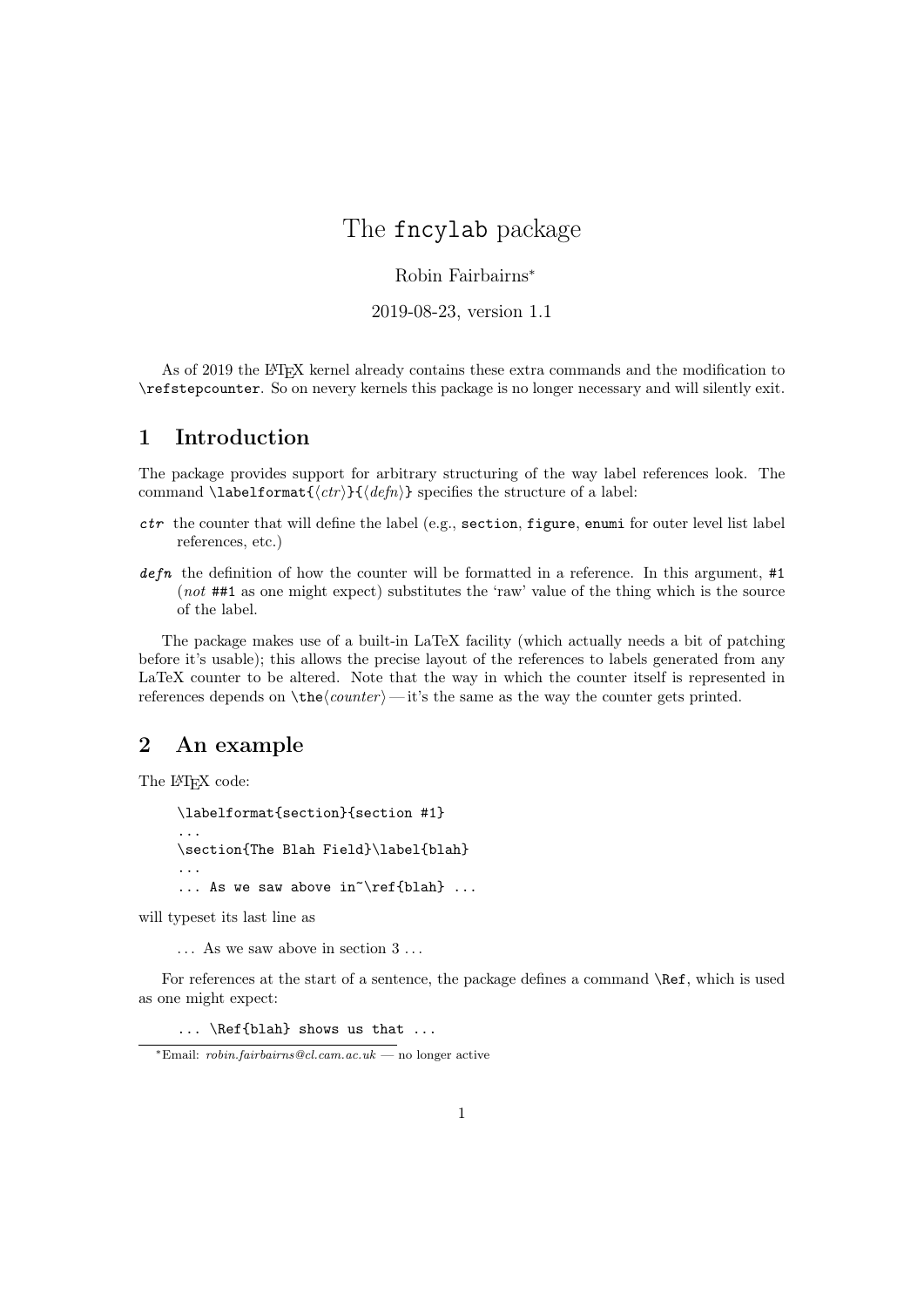## The fncylab package

## Robin Fairbairns<sup>∗</sup>

2019-08-23, version 1.1

As of 2019 the LATEX kernel already contains these extra commands and the modification to \refstepcounter. So on nevery kernels this package is no longer necessary and will silently exit.

## 1 Introduction

The package provides support for arbitrary structuring of the way label references look. The command \labelformat $\{\langle \textit{ctr} \rangle\}$  specifies the structure of a label:

- ctr the counter that will define the label (e.g., section, figure, enumi for outer level list label references, etc.)
- $defn$  the definition of how the counter will be formatted in a reference. In this argument, #1 (not ##1 as one might expect) substitutes the 'raw' value of the thing which is the source of the label.

The package makes use of a built-in LaTeX facility (which actually needs a bit of patching before it's usable); this allows the precise layout of the references to labels generated from any LaTeX counter to be altered. Note that the way in which the counter itself is represented in references depends on  $\theta$  — it's the same as the way the counter gets printed.

## 2 An example

The L<sup>AT</sup>EX code:

```
\labelformat{section}{section #1}
...
\section{The Blah Field}\label{blah}
...
... As we saw above in \ref{blah} ...
```
will typeset its last line as

. . . As we saw above in section 3 . . .

For references at the start of a sentence, the package defines a command \Ref, which is used as one might expect:

... \Ref{blah} shows us that ...

<sup>∗</sup>Email: robin.fairbairns@cl.cam.ac.uk — no longer active